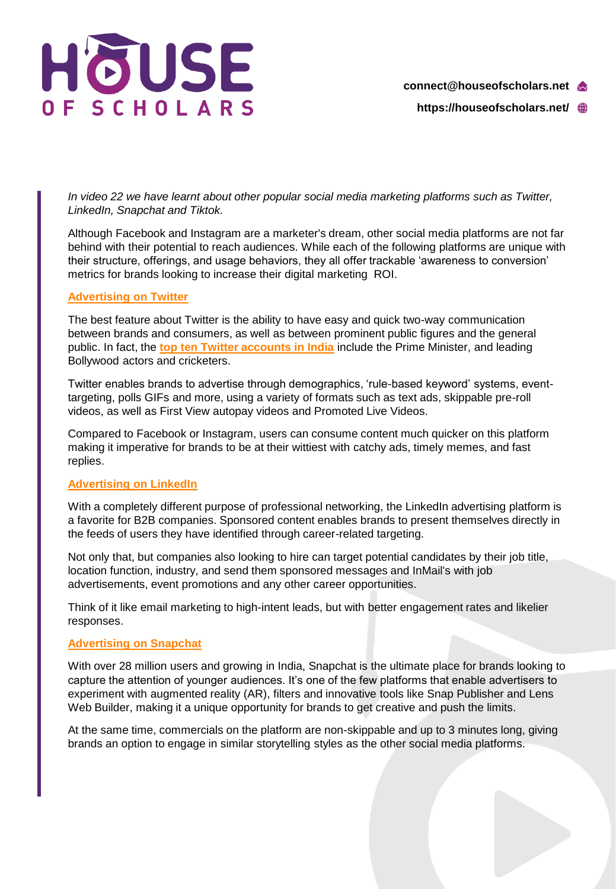

**https://houseofscholars.net/**

*In video 22 we have learnt about other popular social media marketing platforms such as Twitter, LinkedIn, Snapchat and Tiktok.*

Although Facebook and Instagram are a marketer's dream, other social media platforms are not far behind with their potential to reach audiences. While each of the following platforms are unique with their structure, offerings, and usage behaviors, they all offer trackable 'awareness to conversion' metrics for brands looking to increase their digital marketing ROI.

## **[Advertising on Twitter](https://business.twitter.com/en/help/campaign-setup/advertiser-card-specifications.html)**

The best feature about Twitter is the ability to have easy and quick two-way communication between brands and consumers, as well as between prominent public figures and the general public. In fact, the **[top ten Twitter accounts in India](https://www.socialbakers.com/statistics/twitter/profiles/india)** include the Prime Minister, and leading Bollywood actors and cricketers.

Twitter enables brands to advertise through demographics, 'rule-based keyword' systems, eventtargeting, polls GIFs and more, using a variety of formats such as text ads, skippable pre-roll videos, as well as First View autopay videos and Promoted Live Videos.

Compared to Facebook or Instagram, users can consume content much quicker on this platform making it imperative for brands to be at their wittiest with catchy ads, timely memes, and fast replies.

## **[Advertising on LinkedIn](https://business.linkedin.com/marketing-solutions/ads)**

With a completely different purpose of professional networking, the LinkedIn advertising platform is a favorite for B2B companies. Sponsored content enables brands to present themselves directly in the feeds of users they have identified through career-related targeting.

Not only that, but companies also looking to hire can target potential candidates by their job title, location function, industry, and send them sponsored messages and InMail's with job advertisements, event promotions and any other career opportunities.

Think of it like email marketing to high-intent leads, but with better engagement rates and likelier responses.

## **[Advertising on Snapchat](https://forbusiness.snapchat.com/advertising)**

With over 28 million users and growing in India, Snapchat is the ultimate place for brands looking to capture the attention of younger audiences. It's one of the few platforms that enable advertisers to experiment with augmented reality (AR), filters and innovative tools like Snap Publisher and Lens Web Builder, making it a unique opportunity for brands to get creative and push the limits.

At the same time, commercials on the platform are non-skippable and up to 3 minutes long, giving brands an option to engage in similar storytelling styles as the other social media platforms.